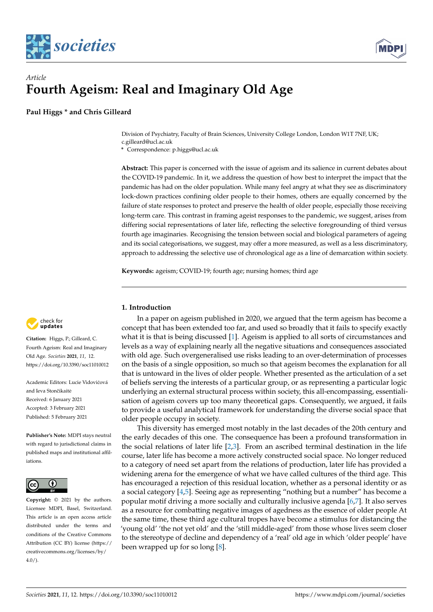



# *Article* **Fourth Ageism: Real and Imaginary Old Age**

**Paul Higgs \* and Chris Gilleard**

Division of Psychiatry, Faculty of Brain Sciences, University College London, London W1T 7NF, UK; c.gilleard@ucl.ac.uk

**\*** Correspondence: p.higgs@ucl.ac.uk

**Abstract:** This paper is concerned with the issue of ageism and its salience in current debates about the COVID-19 pandemic. In it, we address the question of how best to interpret the impact that the pandemic has had on the older population. While many feel angry at what they see as discriminatory lock-down practices confining older people to their homes, others are equally concerned by the failure of state responses to protect and preserve the health of older people, especially those receiving long-term care. This contrast in framing ageist responses to the pandemic, we suggest, arises from differing social representations of later life, reflecting the selective foregrounding of third versus fourth age imaginaries. Recognising the tension between social and biological parameters of ageing and its social categorisations, we suggest, may offer a more measured, as well as a less discriminatory, approach to addressing the selective use of chronological age as a line of demarcation within society.

**Keywords:** ageism; COVID-19; fourth age; nursing homes; third age

## check for **-**

**Citation:** Higgs, P.; Gilleard, C. Fourth Ageism: Real and Imaginary Old Age. *Societies* **2021**, *11*, 12. <https://doi.org/10.3390/soc11010012>

Academic Editors: Lucie Vidovićová and Ieva Stončikaitė Received: 6 January 2021 Accepted: 3 February 2021 Published: 5 February 2021

**Publisher's Note:** MDPI stays neutral with regard to jurisdictional claims in published maps and institutional affiliations.



**Copyright:** © 2021 by the authors. Licensee MDPI, Basel, Switzerland. This article is an open access article distributed under the terms and conditions of the Creative Commons Attribution (CC BY) license (https:/[/](https://creativecommons.org/licenses/by/4.0/) [creativecommons.org/licenses/by/](https://creativecommons.org/licenses/by/4.0/)  $4.0/$ ).

**1. Introduction**

In a paper on ageism published in 2020, we argued that the term ageism has become a concept that has been extended too far, and used so broadly that it fails to specify exactly what it is that is being discussed [\[1\]](#page-5-0). Ageism is applied to all sorts of circumstances and levels as a way of explaining nearly all the negative situations and consequences associated with old age. Such overgeneralised use risks leading to an over-determination of processes on the basis of a single opposition, so much so that ageism becomes the explanation for all that is untoward in the lives of older people. Whether presented as the articulation of a set of beliefs serving the interests of a particular group, or as representing a particular logic underlying an external structural process within society, this all-encompassing, essentialisation of ageism covers up too many theoretical gaps. Consequently, we argued, it fails to provide a useful analytical framework for understanding the diverse social space that older people occupy in society.

This diversity has emerged most notably in the last decades of the 20th century and the early decades of this one. The consequence has been a profound transformation in the social relations of later life [\[2](#page-5-1)[,3\]](#page-5-2). From an ascribed terminal destination in the life course, later life has become a more actively constructed social space. No longer reduced to a category of need set apart from the relations of production, later life has provided a widening arena for the emergence of what we have called cultures of the third age. This has encouraged a rejection of this residual location, whether as a personal identity or as a social category [\[4](#page-5-3)[,5\]](#page-5-4). Seeing age as representing "nothing but a number" has become a popular motif driving a more socially and culturally inclusive agenda [\[6](#page-5-5)[,7\]](#page-5-6). It also serves as a resource for combatting negative images of agedness as the essence of older people At the same time, these third age cultural tropes have become a stimulus for distancing the 'young old' 'the not yet old' and the 'still middle-aged' from those whose lives seem closer to the stereotype of decline and dependency of a 'real' old age in which 'older people' have been wrapped up for so long [\[8\]](#page-5-7).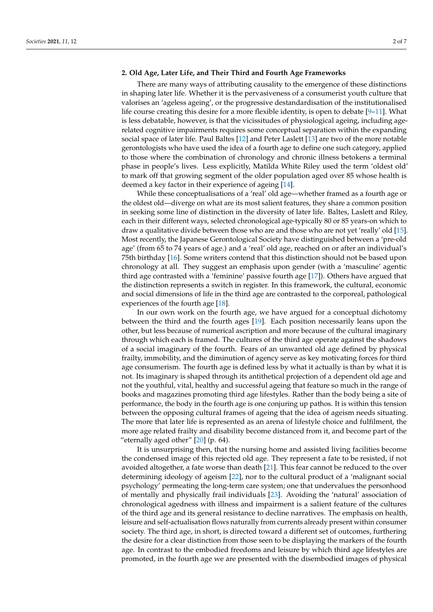## **2. Old Age, Later Life, and Their Third and Fourth Age Frameworks**

There are many ways of attributing causality to the emergence of these distinctions in shaping later life. Whether it is the pervasiveness of a consumerist youth culture that valorises an 'ageless ageing', or the progressive destandardisation of the institutionalised life course creating this desire for a more flexible identity, is open to debate [\[9–](#page-5-8)[11\]](#page-5-9). What is less debatable, however, is that the vicissitudes of physiological ageing, including agerelated cognitive impairments requires some conceptual separation within the expanding social space of later life. Paul Baltes [\[12\]](#page-5-10) and Peter Laslett [\[13\]](#page-5-11) are two of the more notable gerontologists who have used the idea of a fourth age to define one such category, applied to those where the combination of chronology and chronic illness betokens a terminal phase in people's lives. Less explicitly, Matilda White Riley used the term 'oldest old' to mark off that growing segment of the older population aged over 85 whose health is deemed a key factor in their experience of ageing [\[14\]](#page-5-12).

While these conceptualisations of a 'real' old age—whether framed as a fourth age or the oldest old—diverge on what are its most salient features, they share a common position in seeking some line of distinction in the diversity of later life. Baltes, Laslett and Riley, each in their different ways, selected chronological age-typically 80 or 85 years-on which to draw a qualitative divide between those who are and those who are not yet 'really' old [\[15\]](#page-5-13). Most recently, the Japanese Gerontological Society have distinguished between a 'pre-old age' (from 65 to 74 years of age.) and a 'real' old age, reached on or after an individual's 75th birthday [\[16\]](#page-5-14). Some writers contend that this distinction should not be based upon chronology at all. They suggest an emphasis upon gender (with a 'masculine' agentic third age contrasted with a 'feminine' passive fourth age [\[17\]](#page-5-15)). Others have argued that the distinction represents a switch in register. In this framework, the cultural, economic and social dimensions of life in the third age are contrasted to the corporeal, pathological experiences of the fourth age [\[18\]](#page-5-16).

In our own work on the fourth age, we have argued for a conceptual dichotomy between the third and the fourth ages [\[19\]](#page-5-17). Each position necessarily leans upon the other, but less because of numerical ascription and more because of the cultural imaginary through which each is framed. The cultures of the third age operate against the shadows of a social imaginary of the fourth. Fears of an unwanted old age defined by physical frailty, immobility, and the diminution of agency serve as key motivating forces for third age consumerism. The fourth age is defined less by what it actually is than by what it is not. Its imaginary is shaped through its antithetical projection of a dependent old age and not the youthful, vital, healthy and successful ageing that feature so much in the range of books and magazines promoting third age lifestyles. Rather than the body being a site of performance, the body in the fourth age is one conjuring up pathos. It is within this tension between the opposing cultural frames of ageing that the idea of ageism needs situating. The more that later life is represented as an arena of lifestyle choice and fulfilment, the more age related frailty and disability become distanced from it, and become part of the "eternally aged other"  $[20]$  (p. 64).

It is unsurprising then, that the nursing home and assisted living facilities become the condensed image of this rejected old age. They represent a fate to be resisted, if not avoided altogether, a fate worse than death [\[21\]](#page-5-19). This fear cannot be reduced to the over determining ideology of ageism [\[22\]](#page-5-20), nor to the cultural product of a 'malignant social psychology' permeating the long-term care system; one that undervalues the personhood of mentally and physically frail individuals [\[23\]](#page-5-21). Avoiding the 'natural' association of chronological agedness with illness and impairment is a salient feature of the cultures of the third age and its general resistance to decline narratives. The emphasis on health, leisure and self-actualisation flows naturally from currents already present within consumer society. The third age, in short, is directed toward a different set of outcomes, furthering the desire for a clear distinction from those seen to be displaying the markers of the fourth age. In contrast to the embodied freedoms and leisure by which third age lifestyles are promoted, in the fourth age we are presented with the disembodied images of physical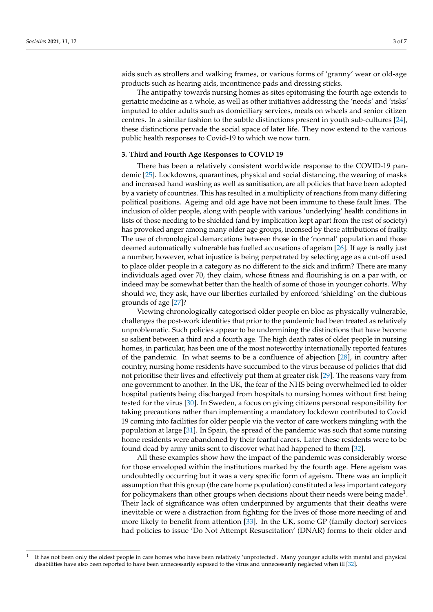aids such as strollers and walking frames, or various forms of 'granny' wear or old-age products such as hearing aids, incontinence pads and dressing sticks.

The antipathy towards nursing homes as sites epitomising the fourth age extends to geriatric medicine as a whole, as well as other initiatives addressing the 'needs' and 'risks' imputed to older adults such as domiciliary services, meals on wheels and senior citizen centres. In a similar fashion to the subtle distinctions present in youth sub-cultures [\[24\]](#page-5-22), these distinctions pervade the social space of later life. They now extend to the various public health responses to Covid-19 to which we now turn.

## **3. Third and Fourth Age Responses to COVID 19**

There has been a relatively consistent worldwide response to the COVID-19 pandemic [\[25\]](#page-5-23). Lockdowns, quarantines, physical and social distancing, the wearing of masks and increased hand washing as well as sanitisation, are all policies that have been adopted by a variety of countries. This has resulted in a multiplicity of reactions from many differing political positions. Ageing and old age have not been immune to these fault lines. The inclusion of older people, along with people with various 'underlying' health conditions in lists of those needing to be shielded (and by implication kept apart from the rest of society) has provoked anger among many older age groups, incensed by these attributions of frailty. The use of chronological demarcations between those in the 'normal' population and those deemed automatically vulnerable has fuelled accusations of ageism [\[26\]](#page-5-24). If age is really just a number, however, what injustice is being perpetrated by selecting age as a cut-off used to place older people in a category as no different to the sick and infirm? There are many individuals aged over 70, they claim, whose fitness and flourishing is on a par with, or indeed may be somewhat better than the health of some of those in younger cohorts. Why should we, they ask, have our liberties curtailed by enforced 'shielding' on the dubious grounds of age [\[27\]](#page-5-25)?

Viewing chronologically categorised older people en bloc as physically vulnerable, challenges the post-work identities that prior to the pandemic had been treated as relatively unproblematic. Such policies appear to be undermining the distinctions that have become so salient between a third and a fourth age. The high death rates of older people in nursing homes, in particular, has been one of the most noteworthy internationally reported features of the pandemic. In what seems to be a confluence of abjection [\[28\]](#page-5-26), in country after country, nursing home residents have succumbed to the virus because of policies that did not prioritise their lives and effectively put them at greater risk [\[29\]](#page-5-27). The reasons vary from one government to another. In the UK, the fear of the NHS being overwhelmed led to older hospital patients being discharged from hospitals to nursing homes without first being tested for the virus [\[30\]](#page-5-28). In Sweden, a focus on giving citizens personal responsibility for taking precautions rather than implementing a mandatory lockdown contributed to Covid 19 coming into facilities for older people via the vector of care workers mingling with the population at large [\[31\]](#page-5-29). In Spain, the spread of the pandemic was such that some nursing home residents were abandoned by their fearful carers. Later these residents were to be found dead by army units sent to discover what had happened to them [\[32\]](#page-5-30).

All these examples show how the impact of the pandemic was considerably worse for those enveloped within the institutions marked by the fourth age. Here ageism was undoubtedly occurring but it was a very specific form of ageism. There was an implicit assumption that this group (the care home population) constituted a less important category for policymakers than other groups when decisions about their needs were being made $^1$ . Their lack of significance was often underpinned by arguments that their deaths were inevitable or were a distraction from fighting for the lives of those more needing of and more likely to benefit from attention [\[33\]](#page-5-31). In the UK, some GP (family doctor) services had policies to issue 'Do Not Attempt Resuscitation' (DNAR) forms to their older and

<sup>1</sup> It has not been only the oldest people in care homes who have been relatively 'unprotected'. Many younger adults with mental and physical disabilities have also been reported to have been unnecessarily exposed to the virus and unnecessarily neglected when ill [\[32\]](#page-5-30).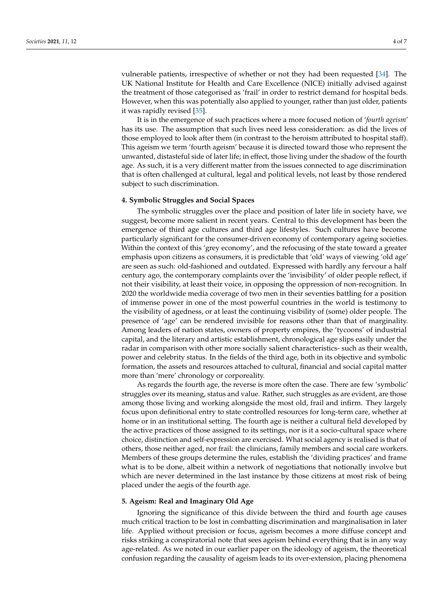vulnerable patients, irrespective of whether or not they had been requested [\[34\]](#page-5-32). The UK National Institute for Health and Care Excellence (NICE) initially advised against the treatment of those categorised as 'frail' in order to restrict demand for hospital beds. However, when this was potentially also applied to younger, rather than just older, patients it was rapidly revised [\[35\]](#page-6-0).

It is in the emergence of such practices where a more focused notion of '*fourth ageism*' has its use. The assumption that such lives need less consideration: as did the lives of those employed to look after them (in contrast to the heroism attributed to hospital staff). This ageism we term 'fourth ageism' because it is directed toward those who represent the unwanted, distasteful side of later life; in effect, those living under the shadow of the fourth age. As such, it is a very different matter from the issues connected to age discrimination that is often challenged at cultural, legal and political levels, not least by those rendered subject to such discrimination.

## **4. Symbolic Struggles and Social Spaces**

The symbolic struggles over the place and position of later life in society have, we suggest, become more salient in recent years. Central to this development has been the emergence of third age cultures and third age lifestyles. Such cultures have become particularly significant for the consumer-driven economy of contemporary ageing societies. Within the context of this 'grey economy', and the refocusing of the state toward a greater emphasis upon citizens as consumers, it is predictable that 'old' ways of viewing 'old age' are seen as such: old-fashioned and outdated. Expressed with hardly any fervour a half century ago, the contemporary complaints over the 'invisibility' of older people reflect, if not their visibility, at least their voice, in opposing the oppression of non-recognition. In 2020 the worldwide media coverage of two men in their seventies battling for a position of immense power in one of the most powerful countries in the world is testimony to the visibility of agedness, or at least the continuing visibility of (some) older people. The presence of 'age' can be rendered invisible for reasons other than that of marginality. Among leaders of nation states, owners of property empires, the 'tycoons' of industrial capital, and the literary and artistic establishment, chronological age slips easily under the radar in comparison with other more socially salient characteristics- such as their wealth, power and celebrity status. In the fields of the third age, both in its objective and symbolic formation, the assets and resources attached to cultural, financial and social capital matter more than 'mere' chronology or corporeality.

As regards the fourth age, the reverse is more often the case. There are few 'symbolic' struggles over its meaning, status and value. Rather, such struggles as are evident, are those among those living and working alongside the most old, frail and infirm. They largely focus upon definitional entry to state controlled resources for long-term care, whether at home or in an institutional setting. The fourth age is neither a cultural field developed by the active practices of those assigned to its settings, nor is it a socio-cultural space where choice, distinction and self-expression are exercised. What social agency is realised is that of others, those neither aged, nor frail: the clinicians, family members and social care workers. Members of these groups determine the rules, establish the 'dividing practices' and frame what is to be done, albeit within a network of negotiations that notionally involve but which are never determined in the last instance by those citizens at most risk of being placed under the aegis of the fourth age.

## **5. Ageism: Real and Imaginary Old Age**

Ignoring the significance of this divide between the third and fourth age causes much critical traction to be lost in combatting discrimination and marginalisation in later life. Applied without precision or focus, ageism becomes a more diffuse concept and risks striking a conspiratorial note that sees ageism behind everything that is in any way age-related. As we noted in our earlier paper on the ideology of ageism, the theoretical confusion regarding the causality of ageism leads to its over-extension, placing phenomena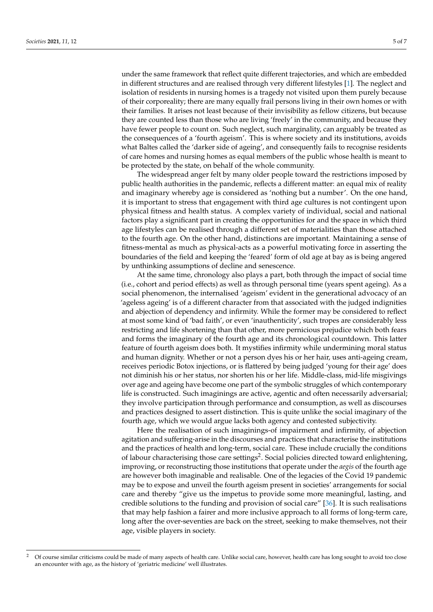under the same framework that reflect quite different trajectories, and which are embedded in different structures and are realised through very different lifestyles [\[1\]](#page-5-0). The neglect and isolation of residents in nursing homes is a tragedy not visited upon them purely because of their corporeality; there are many equally frail persons living in their own homes or with their families. It arises not least because of their invisibility as fellow citizens, but because they are counted less than those who are living 'freely' in the community, and because they have fewer people to count on. Such neglect, such marginality, can arguably be treated as the consequences of a 'fourth ageism'. This is where society and its institutions, avoids what Baltes called the 'darker side of ageing', and consequently fails to recognise residents of care homes and nursing homes as equal members of the public whose health is meant to be protected by the state, on behalf of the whole community.

The widespread anger felt by many older people toward the restrictions imposed by public health authorities in the pandemic, reflects a different matter: an equal mix of reality and imaginary whereby age is considered as 'nothing but a number'. On the one hand, it is important to stress that engagement with third age cultures is not contingent upon physical fitness and health status. A complex variety of individual, social and national factors play a significant part in creating the opportunities for and the space in which third age lifestyles can be realised through a different set of materialities than those attached to the fourth age. On the other hand, distinctions are important. Maintaining a sense of fitness-mental as much as physical-acts as a powerful motivating force in asserting the boundaries of the field and keeping the 'feared' form of old age at bay as is being angered by unthinking assumptions of decline and senescence.

At the same time, chronology also plays a part, both through the impact of social time (i.e., cohort and period effects) as well as through personal time (years spent ageing). As a social phenomenon, the internalised 'ageism' evident in the generational advocacy of an 'ageless ageing' is of a different character from that associated with the judged indignities and abjection of dependency and infirmity. While the former may be considered to reflect at most some kind of 'bad faith', or even 'inauthenticity', such tropes are considerably less restricting and life shortening than that other, more pernicious prejudice which both fears and forms the imaginary of the fourth age and its chronological countdown. This latter feature of fourth ageism does both. It mystifies infirmity while undermining moral status and human dignity. Whether or not a person dyes his or her hair, uses anti-ageing cream, receives periodic Botox injections, or is flattered by being judged 'young for their age' does not diminish his or her status, nor shorten his or her life. Middle-class, mid-life misgivings over age and ageing have become one part of the symbolic struggles of which contemporary life is constructed. Such imaginings are active, agentic and often necessarily adversarial; they involve participation through performance and consumption, as well as discourses and practices designed to assert distinction. This is quite unlike the social imaginary of the fourth age, which we would argue lacks both agency and contested subjectivity.

Here the realisation of such imaginings-of impairment and infirmity, of abjection agitation and suffering-arise in the discourses and practices that characterise the institutions and the practices of health and long-term, social care. These include crucially the conditions of labour characterising those care settings<sup>2</sup>. Social policies directed toward enlightening, improving, or reconstructing those institutions that operate under the *aegis* of the fourth age are however both imaginable and realisable. One of the legacies of the Covid 19 pandemic may be to expose and unveil the fourth ageism present in societies' arrangements for social care and thereby "give us the impetus to provide some more meaningful, lasting, and credible solutions to the funding and provision of social care" [\[36\]](#page-6-1). It is such realisations that may help fashion a fairer and more inclusive approach to all forms of long-term care, long after the over-seventies are back on the street, seeking to make themselves, not their age, visible players in society.

<sup>&</sup>lt;sup>2</sup> Of course similar criticisms could be made of many aspects of health care. Unlike social care, however, health care has long sought to avoid too close an encounter with age, as the history of 'geriatric medicine' well illustrates.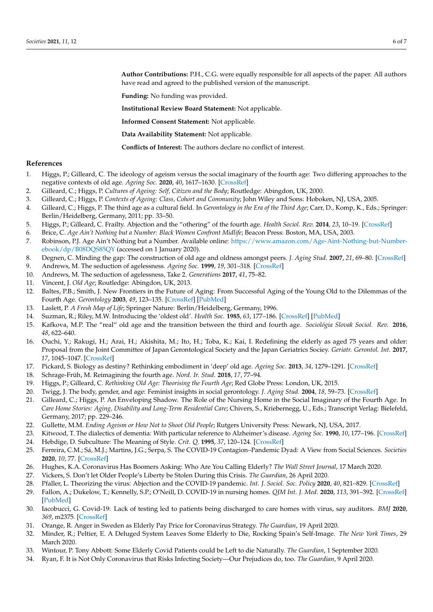**Author Contributions:** P.H., C.G. were equally responsible for all aspects of the paper. All authors have read and agreed to the published version of the manuscript.

**Funding:** No funding was provided.

**Institutional Review Board Statement:** Not applicable.

**Informed Consent Statement:** Not applicable.

**Data Availability Statement:** Not applicable.

**Conflicts of Interest:** The authors declare no conflict of interest.

## **References**

- <span id="page-5-0"></span>1. Higgs, P.; Gilleard, C. The ideology of ageism versus the social imaginary of the fourth age: Two differing approaches to the negative contexts of old age. *Ageing Soc.* **2020**, *40*, 1617–1630. [\[CrossRef\]](http://doi.org/10.1017/S0144686X19000096)
- <span id="page-5-1"></span>2. Gilleard, C.; Higgs, P. *Cultures of Ageing: Self, Citizen and the Body*; Routledge: Abingdon, UK, 2000.
- <span id="page-5-2"></span>3. Gilleard, C.; Higgs, P. *Contexts of Ageing: Class, Cohort and Community*; John Wiley and Sons: Hoboken, NJ, USA, 2005.
- <span id="page-5-3"></span>4. Gilleard, C.; Higgs, P. The third age as a cultural field. In *Gerontology in the Era of the Third Age*; Carr, D., Komp, K., Eds.; Springer: Berlin/Heidelberg, Germany, 2011; pp. 33–50.
- <span id="page-5-4"></span>5. Higgs, P.; Gilleard, C. Frailty. Abjection and the "othering" of the fourth age. *Health Sociol. Rev.* **2014**, *23*, 10–19. [\[CrossRef\]](http://doi.org/10.5172/hesr.2014.23.1.10)
- <span id="page-5-5"></span>6. Brice, C. *Age Ain't Nothing but a Number: Black Women Confront Midlife*; Beacon Press: Boston, MA, USA, 2003.
- <span id="page-5-6"></span>7. Robinson, P.J. Age Ain't Nothing but a Number. Available online: [https://www.amazon.com/Age-Aint-Nothing-but-Number](https://www.amazon.com/Age-Aint-Nothing-but-Number-ebook/dp/B08DQS85QY)[ebook/dp/B08DQS85QY](https://www.amazon.com/Age-Aint-Nothing-but-Number-ebook/dp/B08DQS85QY) (accessed on 1 January 2020).
- <span id="page-5-7"></span>8. Degnen, C. Minding the gap: The construction of old age and oldness amongst peers. *J. Aging Stud.* **2007**, *21*, 69–80. [\[CrossRef\]](http://doi.org/10.1016/j.jaging.2006.02.001)
- <span id="page-5-8"></span>9. Andrews, M. The seduction of agelessness. *Ageing Soc.* **1999**, *19*, 301–318. [\[CrossRef\]](http://doi.org/10.1017/S0144686X99007369)
- 10. Andrews, M. The seduction of agelessness, Take 2. *Generations* **2017**, *41*, 75–82.
- <span id="page-5-9"></span>11. Vincent, J. *Old Age*; Routledge: Abingdon, UK, 2013.
- <span id="page-5-10"></span>12. Baltes, P.B.; Smith, J. New Frontiers in the Future of Aging: From Successful Aging of the Young Old to the Dilemmas of the Fourth Age. *Gerontology* **2003**, *49*, 123–135. [\[CrossRef\]](http://doi.org/10.1159/000067946) [\[PubMed\]](http://www.ncbi.nlm.nih.gov/pubmed/12574672)
- <span id="page-5-11"></span>13. Laslett, P. *A Fresh Map of Life*; Springer Nature: Berlin/Heidelberg, Germany, 1996.
- <span id="page-5-12"></span>14. Suzman, R.; Riley, M.W. Introducing the 'oldest old'. *Health Soc.* **1985**, *63*, 177–186. [\[CrossRef\]](http://doi.org/10.2307/3349879) [\[PubMed\]](http://www.ncbi.nlm.nih.gov/pubmed/3846808)
- <span id="page-5-13"></span>15. Kafkova, M.P. The "real" old age and the transition between the third and fourth age. *Sociológia Slovak Sociol. Rev.* **2016**, *48*, 622–640.
- <span id="page-5-14"></span>16. Ouchi, Y.; Rakugi, H.; Arai, H.; Akishita, M.; Ito, H.; Toba, K.; Kai, I. Redefining the elderly as aged 75 years and older: Proposal from the Joint Committee of Japan Gerontological Society and the Japan Geriatrics Sociey. *Geriatr. Gerontol. Int.* **2017**, *17*, 1045–1047. [\[CrossRef\]](http://doi.org/10.1111/ggi.13118)
- <span id="page-5-15"></span>17. Pickard, S. Biology as destiny? Rethinking embodiment in 'deep' old age. *Ageing Soc.* **2013**, *34*, 1279–1291. [\[CrossRef\]](http://doi.org/10.1017/S0144686X13000196)
- <span id="page-5-16"></span>18. Schrage-Früh, M. Reimagining the fourth age. *Nord. Ir. Stud.* **2018**, *17*, 77–94.
- <span id="page-5-17"></span>19. Higgs, P.; Gilleard, C. *Rethinking Old Age: Theorising the Fourth Age*; Red Globe Press: London, UK, 2015.
- <span id="page-5-18"></span>20. Twigg, J. The body, gender, and age: Feminist insights in social gerontology. *J. Aging Stud.* **2004**, *18*, 59–73. [\[CrossRef\]](http://doi.org/10.1016/j.jaging.2003.09.001)
- <span id="page-5-19"></span>21. Gilleard, C.; Higgs, P. An Enveloping Shadow. The Role of the Nursing Home in the Social Imaginary of the Fourth Age. In *Care Home Stories: Aging, Disability and Long-Term Residential Care*; Chivers, S., Kriebernegg, U., Eds.; Transcript Verlag: Bielefeld, Germany, 2017; pp. 229–246.
- <span id="page-5-20"></span>22. Gullette, M.M. *Ending Ageism or How Not to Shoot Old People*; Rutgers University Press: Newark, NJ, USA, 2017.
- <span id="page-5-21"></span>23. Kitwood, T. The dialectics of dementia: With particular reference to Alzheimer's disease. *Ageing Soc.* **1990**, *10*, 177–196. [\[CrossRef\]](http://doi.org/10.1017/S0144686X00008060)
- <span id="page-5-22"></span>24. Hebdige, D. Subculture: The Meaning of Style. *Crit. Q.* **1995**, *37*, 120–124. [\[CrossRef\]](http://doi.org/10.1111/j.1467-8705.1995.tb01063.x)
- <span id="page-5-23"></span>25. Ferreira, C.M.; Sá, M.J.; Martins, J.G.; Serpa, S. The COVID-19 Contagion–Pandemic Dyad: A View from Social Sciences. *Societies* **2020**, *10*, 77. [\[CrossRef\]](http://doi.org/10.3390/soc10040077)
- <span id="page-5-24"></span>26. Hughes, K.A. Coronavirus Has Boomers Asking: Who Are You Calling Elderly? *The Wall Street Journal*, 17 March 2020.
- <span id="page-5-25"></span>27. Vickers, S. Don't let Older People's Liberty be Stolen During this Crisis. *The Guardian*, 26 April 2020.
- <span id="page-5-26"></span>28. Pfaller, L. Theorizing the virus: Abjection and the COVID-19 pandemic. *Int. J. Sociol. Soc. Policy* **2020**, *40*, 821–829. [\[CrossRef\]](http://doi.org/10.1108/IJSSP-06-2020-0243)
- <span id="page-5-27"></span>29. Fallon, A.; Dukelow, T.; Kennelly, S.P.; O'Neill, D. COVID-19 in nursing homes. *QJM Int. J. Med.* **2020**, *113*, 391–392. [\[CrossRef\]](http://doi.org/10.1093/qjmed/hcaa136) [\[PubMed\]](http://www.ncbi.nlm.nih.gov/pubmed/32311049)
- <span id="page-5-28"></span>30. Iacobucci, G. Covid-19: Lack of testing led to patients being discharged to care homes with virus, say auditors. *BMJ* **2020**, *369*, m2375. [\[CrossRef\]](http://doi.org/10.1136/bmj.m2375)
- <span id="page-5-29"></span>31. Orange, R. Anger in Sweden as Elderly Pay Price for Coronavirus Strategy. *The Guardian*, 19 April 2020.
- <span id="page-5-30"></span>32. Minder, R.; Peltier, E. A Deluged System Leaves Some Elderly to Die, Rocking Spain's Self-Image. *The New York Times*, 29 March 2020.
- <span id="page-5-31"></span>33. Wintour, P. Tony Abbott: Some Elderly Covid Patients could be Left to die Naturally. *The Guardian*, 1 September 2020.
- <span id="page-5-32"></span>34. Ryan, F. It is Not Only Coronavirus that Risks Infecting Society—Our Prejudices do, too. *The Guardian*, 9 April 2020.